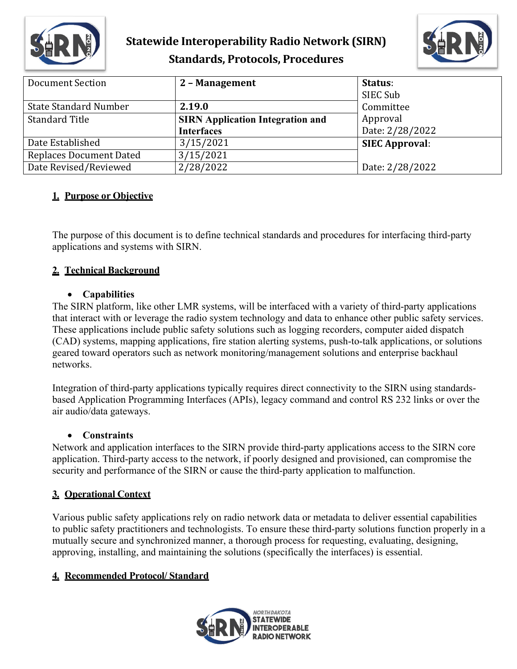

# **Statewide Interoperability Radio Network (SIRN) Standards, Protocols, Procedures**



| <b>Document Section</b>        | 2 - Management                          | Status:               |
|--------------------------------|-----------------------------------------|-----------------------|
|                                |                                         | SIEC Sub              |
| <b>State Standard Number</b>   | 2.19.0                                  | Committee             |
| <b>Standard Title</b>          | <b>SIRN Application Integration and</b> | Approval              |
|                                | <b>Interfaces</b>                       | Date: 2/28/2022       |
| Date Established               | 3/15/2021                               | <b>SIEC Approval:</b> |
| <b>Replaces Document Dated</b> | 3/15/2021                               |                       |
| Date Revised/Reviewed          | 2/28/2022                               | Date: 2/28/2022       |

## **1. Purpose or Objective**

The purpose of this document is to define technical standards and procedures for interfacing third-party applications and systems with SIRN.

### **2. Technical Background**

#### • **Capabilities**

The SIRN platform, like other LMR systems, will be interfaced with a variety of third-party applications that interact with or leverage the radio system technology and data to enhance other public safety services. These applications include public safety solutions such as logging recorders, computer aided dispatch (CAD) systems, mapping applications, fire station alerting systems, push-to-talk applications, or solutions geared toward operators such as network monitoring/management solutions and enterprise backhaul networks.

Integration of third-party applications typically requires direct connectivity to the SIRN using standardsbased Application Programming Interfaces (APIs), legacy command and control RS 232 links or over the air audio/data gateways.

### • **Constraints**

Network and application interfaces to the SIRN provide third-party applications access to the SIRN core application. Third-party access to the network, if poorly designed and provisioned, can compromise the security and performance of the SIRN or cause the third-party application to malfunction.

### **3. Operational Context**

Various public safety applications rely on radio network data or metadata to deliver essential capabilities to public safety practitioners and technologists. To ensure these third-party solutions function properly in a mutually secure and synchronized manner, a thorough process for requesting, evaluating, designing, approving, installing, and maintaining the solutions (specifically the interfaces) is essential.

## **4. Recommended Protocol/ Standard**

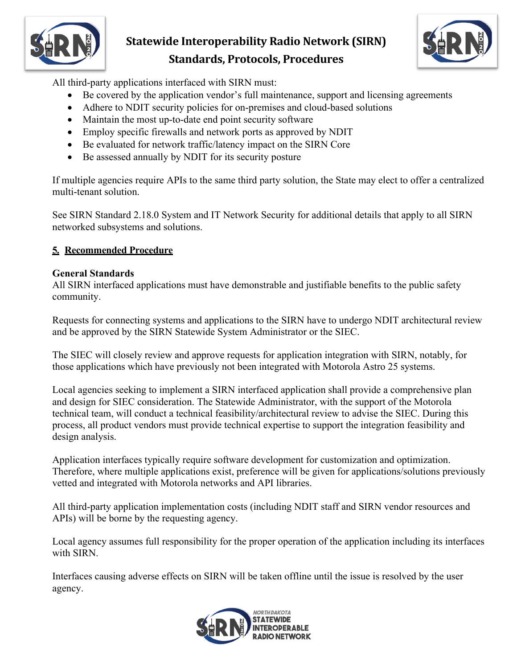

# **Statewide Interoperability Radio Network (SIRN) Standards, Protocols, Procedures**



All third-party applications interfaced with SIRN must:

- Be covered by the application vendor's full maintenance, support and licensing agreements
- Adhere to NDIT security policies for on-premises and cloud-based solutions
- Maintain the most up-to-date end point security software
- Employ specific firewalls and network ports as approved by NDIT
- Be evaluated for network traffic/latency impact on the SIRN Core
- Be assessed annually by NDIT for its security posture

If multiple agencies require APIs to the same third party solution, the State may elect to offer a centralized multi-tenant solution.

See SIRN Standard 2.18.0 System and IT Network Security for additional details that apply to all SIRN networked subsystems and solutions.

## **5. Recommended Procedure**

#### **General Standards**

All SIRN interfaced applications must have demonstrable and justifiable benefits to the public safety community.

Requests for connecting systems and applications to the SIRN have to undergo NDIT architectural review and be approved by the SIRN Statewide System Administrator or the SIEC.

The SIEC will closely review and approve requests for application integration with SIRN, notably, for those applications which have previously not been integrated with Motorola Astro 25 systems.

Local agencies seeking to implement a SIRN interfaced application shall provide a comprehensive plan and design for SIEC consideration. The Statewide Administrator, with the support of the Motorola technical team, will conduct a technical feasibility/architectural review to advise the SIEC. During this process, all product vendors must provide technical expertise to support the integration feasibility and design analysis.

Application interfaces typically require software development for customization and optimization. Therefore, where multiple applications exist, preference will be given for applications/solutions previously vetted and integrated with Motorola networks and API libraries.

All third-party application implementation costs (including NDIT staff and SIRN vendor resources and APIs) will be borne by the requesting agency.

Local agency assumes full responsibility for the proper operation of the application including its interfaces with SIRN.

Interfaces causing adverse effects on SIRN will be taken offline until the issue is resolved by the user agency.